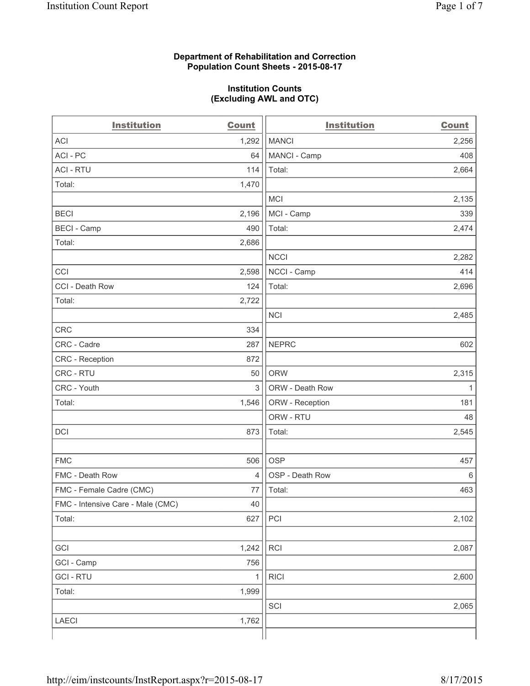### **Department of Rehabilitation and Correction Population Count Sheets - 2015-08-17**

### **Institution Counts (Excluding AWL and OTC)**

| <b>Institution</b>                | <b>Count</b>   | <b>Institution</b> | <b>Count</b> |
|-----------------------------------|----------------|--------------------|--------------|
| <b>ACI</b>                        | 1,292          | <b>MANCI</b>       | 2,256        |
| ACI-PC                            | 64             | MANCI - Camp       | 408          |
| <b>ACI - RTU</b>                  | 114            | Total:             | 2,664        |
| Total:                            | 1,470          |                    |              |
|                                   |                | <b>MCI</b>         | 2,135        |
| <b>BECI</b>                       | 2,196          | MCI - Camp         | 339          |
| <b>BECI - Camp</b>                | 490            | Total:             | 2,474        |
| Total:                            | 2,686          |                    |              |
|                                   |                | <b>NCCI</b>        | 2,282        |
| CCI                               | 2,598          | NCCI - Camp        | 414          |
| CCI - Death Row                   | 124            | Total:             | 2,696        |
| Total:                            | 2,722          |                    |              |
|                                   |                | <b>NCI</b>         | 2,485        |
| <b>CRC</b>                        | 334            |                    |              |
| CRC - Cadre                       | 287            | <b>NEPRC</b>       | 602          |
| CRC - Reception                   | 872            |                    |              |
| CRC - RTU                         | 50             | <b>ORW</b>         | 2,315        |
| CRC - Youth                       | 3              | ORW - Death Row    | 1            |
| Total:                            | 1,546          | ORW - Reception    | 181          |
|                                   |                | ORW - RTU          | 48           |
| DCI                               | 873            | Total:             | 2,545        |
|                                   |                |                    |              |
| <b>FMC</b>                        | 506            | <b>OSP</b>         | 457          |
| FMC - Death Row                   | $\overline{4}$ | OSP - Death Row    | 6            |
| FMC - Female Cadre (CMC)          | 77             | Total:             | 463          |
| FMC - Intensive Care - Male (CMC) | 40             |                    |              |
| Total:                            | 627            | PCI                | 2,102        |
|                                   |                |                    |              |
| GCI                               | 1,242          | RCI                | 2,087        |
| GCI - Camp                        | 756            |                    |              |
| <b>GCI - RTU</b>                  | 1              | <b>RICI</b>        | 2,600        |
| Total:                            | 1,999          |                    |              |
|                                   |                | SCI                | 2,065        |
| LAECI                             | 1,762          |                    |              |
|                                   |                |                    |              |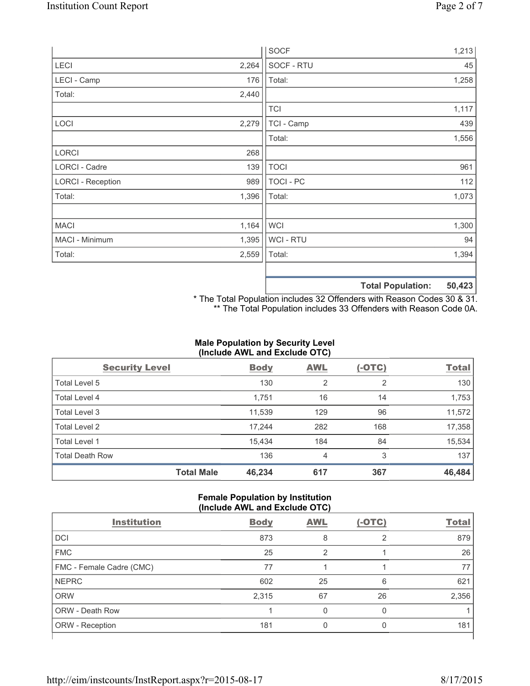|                          |       |                  | <b>EN 492</b><br>Total Dopulation: |
|--------------------------|-------|------------------|------------------------------------|
|                          |       |                  |                                    |
| Total:                   | 2,559 | Total:           | 1,394                              |
| MACI - Minimum           | 1,395 | <b>WCI-RTU</b>   | 94                                 |
| <b>MACI</b>              | 1,164 | WCI              | 1,300                              |
|                          |       |                  |                                    |
| Total:                   | 1,396 | Total:           | 1,073                              |
| <b>LORCI - Reception</b> | 989   | <b>TOCI - PC</b> | 112                                |
| LORCI - Cadre            | 139   | <b>TOCI</b>      | 961                                |
| <b>LORCI</b>             | 268   |                  |                                    |
|                          |       | Total:           | 1,556                              |
| LOCI                     | 2,279 | TCI - Camp       | 439                                |
|                          |       | <b>TCI</b>       | 1,117                              |
| Total:                   | 2,440 |                  |                                    |
| LECI - Camp              | 176   | Total:           | 1,258                              |
| LECI                     | 2,264 | SOCF - RTU       | 45                                 |
|                          |       | <b>SOCF</b>      | 1,213                              |

**Total Population: 50,423**

\* The Total Population includes 32 Offenders with Reason Codes 30 & 31. \*\* The Total Population includes 33 Offenders with Reason Code 0A.

# **Male Population by Security Level (Include AWL and Exclude OTC)**

| <b>Security Level</b>  |                   | <b>Body</b> | <b>AWL</b> | $(-OTC)$ | <b>Total</b> |
|------------------------|-------------------|-------------|------------|----------|--------------|
| Total Level 5          |                   | 130         | 2          | 2        | 130          |
| <b>Total Level 4</b>   |                   | 1,751       | 16         | 14       | 1,753        |
| Total Level 3          |                   | 11,539      | 129        | 96       | 11,572       |
| Total Level 2          |                   | 17,244      | 282        | 168      | 17,358       |
| <b>Total Level 1</b>   |                   | 15,434      | 184        | 84       | 15,534       |
| <b>Total Death Row</b> |                   | 136         | 4          | 3        | 137          |
|                        | <b>Total Male</b> | 46,234      | 617        | 367      | 46,484       |

#### **Female Population by Institution (Include AWL and Exclude OTC)**

| .                        |             |            |          |              |  |  |
|--------------------------|-------------|------------|----------|--------------|--|--|
| <b>Institution</b>       | <b>Body</b> | <b>AWL</b> | $(-OTC)$ | <b>Total</b> |  |  |
| DCI                      | 873         | 8          | 2        | 879          |  |  |
| <b>FMC</b>               | 25          | 2          |          | 26           |  |  |
| FMC - Female Cadre (CMC) | 77          |            |          | 77           |  |  |
| <b>NEPRC</b>             | 602         | 25         | 6        | 621          |  |  |
| <b>ORW</b>               | 2,315       | 67         | 26       | 2,356        |  |  |
| <b>ORW - Death Row</b>   |             |            | 0        |              |  |  |
| ORW - Reception          | 181         |            | O        | 181          |  |  |
|                          |             |            |          |              |  |  |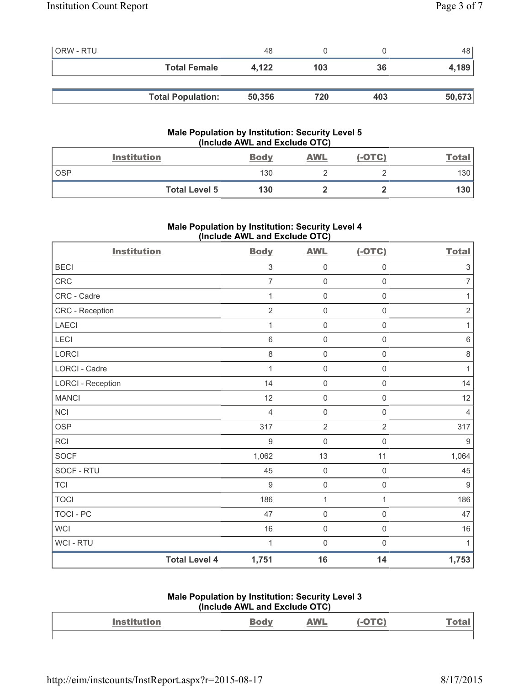| <b>ORW - RTU</b> |                          | 48     |     |     | 48     |
|------------------|--------------------------|--------|-----|-----|--------|
|                  | <b>Total Female</b>      | 4.122  | 103 | 36  | 4,189  |
|                  |                          |        |     |     |        |
|                  | <b>Total Population:</b> | 50,356 | 720 | 403 | 50,673 |

## **Male Population by Institution: Security Level 5 (Include AWL and Exclude OTC)**

|            | <b>Institution</b>   | <b>Body</b> | <u>AWL</u> | $(-OTC)$ | <u>Total</u> |
|------------|----------------------|-------------|------------|----------|--------------|
| <b>OSP</b> |                      | 130         |            |          | 130          |
|            | <b>Total Level 5</b> | 130         |            |          | 130          |

# **Male Population by Institution: Security Level 4 (Include AWL and Exclude OTC)**

| <b>Institution</b>       |                      | <b>Body</b>    | <b>AWL</b>          | $(-OTC)$            | <b>Total</b>     |
|--------------------------|----------------------|----------------|---------------------|---------------------|------------------|
| <b>BECI</b>              |                      | $\sqrt{3}$     | $\mathsf{O}\xspace$ | $\mathsf{O}\xspace$ | $\sqrt{3}$       |
| <b>CRC</b>               |                      | $\overline{7}$ | $\mathsf{O}\xspace$ | $\mathsf 0$         | $\overline{7}$   |
| CRC - Cadre              |                      | 1              | $\mathsf{O}\xspace$ | $\mathsf{O}\xspace$ | 1                |
| CRC - Reception          |                      | $\overline{2}$ | $\mathsf{O}\xspace$ | $\mathbf 0$         | $\sqrt{2}$       |
| <b>LAECI</b>             |                      | 1              | $\mathbf 0$         | $\mathsf{O}\xspace$ | $\mathbf{1}$     |
| LECI                     |                      | $6\,$          | $\mathsf{O}\xspace$ | $\mathsf 0$         | $\,6\,$          |
| <b>LORCI</b>             |                      | $\,8\,$        | $\mathsf{O}\xspace$ | $\mathsf{O}\xspace$ | $\,8\,$          |
| <b>LORCI - Cadre</b>     |                      | 1              | $\mathbf 0$         | $\mathsf{O}\xspace$ | $\mathbf{1}$     |
| <b>LORCI - Reception</b> |                      | 14             | $\mathsf{O}\xspace$ | $\mathsf{O}\xspace$ | 14               |
| <b>MANCI</b>             |                      | 12             | $\mathsf{O}\xspace$ | $\mathsf{O}\xspace$ | 12               |
| <b>NCI</b>               |                      | $\overline{4}$ | $\mathsf{O}\xspace$ | $\mathsf 0$         | $\overline{4}$   |
| <b>OSP</b>               |                      | 317            | $\overline{2}$      | $\overline{2}$      | 317              |
| <b>RCI</b>               |                      | $9\,$          | $\mathbf 0$         | $\mathsf{O}\xspace$ | $9\,$            |
| <b>SOCF</b>              |                      | 1,062          | 13                  | 11                  | 1,064            |
| SOCF - RTU               |                      | 45             | $\mathsf{O}\xspace$ | $\mathsf{O}\xspace$ | 45               |
| <b>TCI</b>               |                      | $9\,$          | $\mathsf{O}\xspace$ | $\mathsf{O}\xspace$ | $\boldsymbol{9}$ |
| <b>TOCI</b>              |                      | 186            | $\mathbf{1}$        | $\mathbf{1}$        | 186              |
| <b>TOCI - PC</b>         |                      | 47             | $\mathsf{O}\xspace$ | 0                   | 47               |
| <b>WCI</b>               |                      | 16             | $\mathsf{O}\xspace$ | $\mathsf{O}\xspace$ | 16               |
| <b>WCI - RTU</b>         |                      | 1              | $\mathbf 0$         | $\mathsf{O}\xspace$ | 1                |
|                          | <b>Total Level 4</b> | 1,751          | 16                  | 14                  | 1,753            |

#### **Male Population by Institution: Security Level 3 (Include AWL and Exclude OTC)**

| $(1101000 \text{ A})$ |  |            |  |              |  |  |
|-----------------------|--|------------|--|--------------|--|--|
| <b>Institution</b>    |  | <b>AWL</b> |  | <u>Total</u> |  |  |
|                       |  |            |  |              |  |  |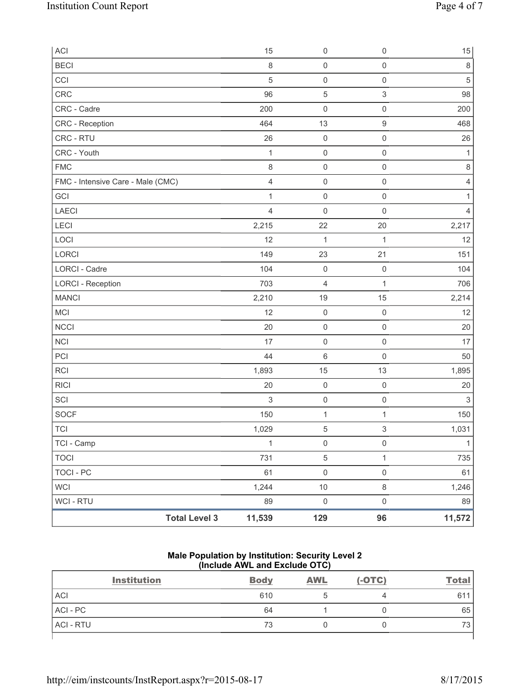| ACI                               | 15             | 0                   | $\mathsf 0$               | $15\,$         |
|-----------------------------------|----------------|---------------------|---------------------------|----------------|
| <b>BECI</b>                       | 8              | $\mathsf 0$         | $\mathsf 0$               | $\,8\,$        |
| CCI                               | $\overline{5}$ | $\mathsf{O}\xspace$ | $\mathsf{O}\xspace$       | $\overline{5}$ |
| CRC                               | 96             | 5                   | $\ensuremath{\mathsf{3}}$ | 98             |
| CRC - Cadre                       | 200            | $\mathsf 0$         | $\mathsf 0$               | 200            |
| CRC - Reception                   | 464            | 13                  | $\hbox{9}$                | 468            |
| CRC - RTU                         | 26             | $\mathsf 0$         | $\mathsf 0$               | 26             |
| CRC - Youth                       | $\mathbf{1}$   | $\mathsf 0$         | $\mathsf{O}\xspace$       | 1              |
| <b>FMC</b>                        | 8              | 0                   | $\mathsf 0$               | 8              |
| FMC - Intensive Care - Male (CMC) | $\overline{4}$ | $\mathsf 0$         | $\mathsf{O}\xspace$       | 4              |
| GCI                               | $\mathbf{1}$   | 0                   | $\mathsf 0$               | 1              |
| LAECI                             | $\overline{4}$ | $\mathsf{O}\xspace$ | $\mathsf 0$               | $\overline{4}$ |
| <b>LECI</b>                       | 2,215          | 22                  | 20                        | 2,217          |
| LOCI                              | 12             | $\mathbf{1}$        | 1                         | 12             |
| LORCI                             | 149            | 23                  | 21                        | 151            |
| <b>LORCI - Cadre</b>              | 104            | $\mathsf{O}\xspace$ | $\mathsf 0$               | 104            |
| <b>LORCI - Reception</b>          | 703            | 4                   | $\mathbf{1}$              | 706            |
| <b>MANCI</b>                      | 2,210          | 19                  | 15                        | 2,214          |
| MCI                               | 12             | $\mathsf{O}\xspace$ | $\mathsf 0$               | 12             |
| <b>NCCI</b>                       | 20             | $\mathsf 0$         | $\mathsf{O}\xspace$       | 20             |
| <b>NCI</b>                        | 17             | 0                   | $\mathsf{O}\xspace$       | 17             |
| PCI                               | 44             | 6                   | $\mathsf 0$               | 50             |
| <b>RCI</b>                        | 1,893          | 15                  | 13                        | 1,895          |
| <b>RICI</b>                       | 20             | $\mathsf{O}\xspace$ | $\mathsf 0$               | 20             |
| SCI                               | $\,$ 3 $\,$    | $\mathsf{O}\xspace$ | $\mathsf{O}\xspace$       | 3              |
| SOCF                              | 150            | $\mathbf 1$         | $\mathbf{1}$              | 150            |
| <b>TCI</b>                        | 1,029          | 5                   | 3                         | 1,031          |
| TCI - Camp                        | $\mathbf{1}$   | $\mathsf{O}\xspace$ | $\mathsf{O}\xspace$       | $\mathbf{1}$   |
| <b>TOCI</b>                       | 731            | $\sqrt{5}$          | $\mathbf{1}$              | 735            |
| TOCI - PC                         | 61             | $\mathsf{O}\xspace$ | $\mathsf{O}\xspace$       | 61             |
| WCI                               | 1,244          | $10$                | $\,8\,$                   | 1,246          |
| WCI - RTU                         | 89             | $\mathsf{O}\xspace$ | $\mathsf{O}\xspace$       | 89             |
| <b>Total Level 3</b>              | 11,539         | 129                 | 96                        | 11,572         |

## **Male Population by Institution: Security Level 2 (Include AWL and Exclude OTC)**

| <b>Institution</b> | <b>Body</b> | <b>AWL</b> | $(-OTC)$ | <b>Total</b> |
|--------------------|-------------|------------|----------|--------------|
| <b>ACI</b>         | 610         |            |          | 611          |
| ACI-PC             | 64          |            |          | 65           |
| <b>ACI - RTU</b>   | 73          |            |          | 72<br>ూ      |
|                    |             |            |          |              |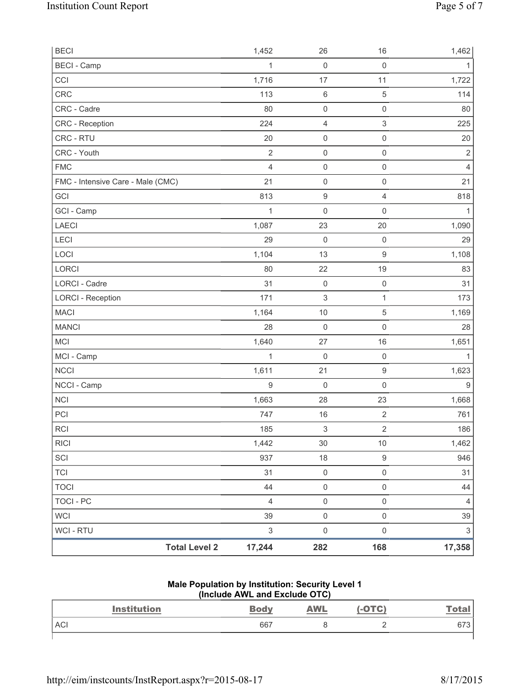| <b>BECI</b>                       |                      | 1,452          | 26                  | 16                        | 1,462                     |
|-----------------------------------|----------------------|----------------|---------------------|---------------------------|---------------------------|
| <b>BECI</b> - Camp                |                      | 1              | $\mathsf 0$         | $\mathsf{O}\xspace$       | 1                         |
| CCI                               |                      | 1,716          | 17                  | 11                        | 1,722                     |
| CRC                               |                      | 113            | $\,6\,$             | 5                         | 114                       |
| CRC - Cadre                       |                      | 80             | $\mathsf 0$         | $\mathsf{O}\xspace$       | 80                        |
| CRC - Reception                   |                      | 224            | $\overline{4}$      | $\ensuremath{\mathsf{3}}$ | 225                       |
| CRC - RTU                         |                      | 20             | $\mathsf 0$         | $\mathsf{O}\xspace$       | 20                        |
| CRC - Youth                       |                      | $\sqrt{2}$     | $\mathsf 0$         | $\mathsf{O}\xspace$       | $\sqrt{2}$                |
| <b>FMC</b>                        |                      | $\overline{4}$ | $\mathsf 0$         | $\mathsf{O}\xspace$       | $\overline{4}$            |
| FMC - Intensive Care - Male (CMC) |                      | 21             | $\mathsf 0$         | $\mathsf{O}\xspace$       | 21                        |
| GCI                               |                      | 813            | $\boldsymbol{9}$    | $\overline{4}$            | 818                       |
| GCI - Camp                        |                      | 1              | $\mathbf 0$         | $\mathsf 0$               | 1                         |
| <b>LAECI</b>                      |                      | 1,087          | 23                  | 20                        | 1,090                     |
| LECI                              |                      | 29             | $\mathsf{O}\xspace$ | $\mathsf{O}\xspace$       | 29                        |
| LOCI                              |                      | 1,104          | 13                  | $\mathsf g$               | 1,108                     |
| <b>LORCI</b>                      |                      | 80             | 22                  | 19                        | 83                        |
| <b>LORCI - Cadre</b>              |                      | 31             | $\mathsf 0$         | $\mathsf 0$               | 31                        |
| <b>LORCI - Reception</b>          |                      | 171            | $\,$ 3 $\,$         | $\mathbf{1}$              | 173                       |
| <b>MACI</b>                       |                      | 1,164          | $10$                | 5                         | 1,169                     |
| <b>MANCI</b>                      |                      | 28             | $\mathbf 0$         | $\mathsf{O}\xspace$       | 28                        |
| MCI                               |                      | 1,640          | 27                  | 16                        | 1,651                     |
| MCI - Camp                        |                      | 1              | $\mathbf 0$         | $\mathsf{O}\xspace$       | 1                         |
| <b>NCCI</b>                       |                      | 1,611          | 21                  | $\mathsf g$               | 1,623                     |
| NCCI - Camp                       |                      | $\hbox{9}$     | $\mathbf 0$         | $\mathsf{O}\xspace$       | $\boldsymbol{9}$          |
| <b>NCI</b>                        |                      | 1,663          | 28                  | 23                        | 1,668                     |
| PCI                               |                      | 747            | 16                  | $\overline{2}$            | 761                       |
| RCI                               |                      | 185            | $\sqrt{3}$          | $\overline{c}$            | 186                       |
| <b>RICI</b>                       |                      | 1,442          | $30\,$              | $10$                      | 1,462                     |
| SCI                               |                      | 937            | 18                  | 9                         | 946                       |
| <b>TCI</b>                        |                      | 31             | $\mathsf{O}\xspace$ | $\mathsf{O}\xspace$       | 31                        |
| <b>TOCI</b>                       |                      | 44             | $\mathsf{O}\xspace$ | $\mathsf{O}\xspace$       | 44                        |
| <b>TOCI - PC</b>                  |                      | $\overline{4}$ | $\mathsf{O}\xspace$ | $\mathsf{O}\xspace$       | 4                         |
| <b>WCI</b>                        |                      | 39             | $\mathsf{O}\xspace$ | $\mathsf{O}\xspace$       | 39                        |
| WCI - RTU                         |                      | $\,$ 3 $\,$    | $\mathsf{O}\xspace$ | $\mathsf{O}\xspace$       | $\ensuremath{\mathsf{3}}$ |
|                                   | <b>Total Level 2</b> | 17,244         | 282                 | 168                       | 17,358                    |

#### **Male Population by Institution: Security Level 1 (Include AWL and Exclude OTC)**

| <b>Institution</b> | <b>Bodv</b> | <b>AWL</b> | $-OTC$ | <u>Total</u> |
|--------------------|-------------|------------|--------|--------------|
| <b>ACI</b>         | 667         |            |        | 673          |
|                    |             |            |        |              |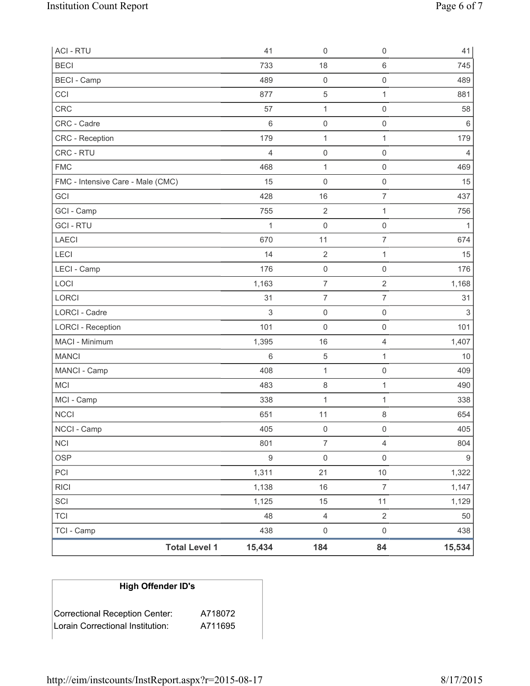| <b>ACI - RTU</b>                  | 41             | $\mathsf 0$             | $\mathsf 0$         | 41               |
|-----------------------------------|----------------|-------------------------|---------------------|------------------|
| <b>BECI</b>                       | 733            | 18                      | $6\,$               | 745              |
| <b>BECI</b> - Camp                | 489            | 0                       | $\mathsf{O}\xspace$ | 489              |
| CCI                               | 877            | 5                       | $\mathbf{1}$        | 881              |
| <b>CRC</b>                        | 57             | 1                       | $\mathsf 0$         | 58               |
| CRC - Cadre                       | 6              | $\mathsf{O}\xspace$     | $\mathsf 0$         | 6                |
| CRC - Reception                   | 179            | $\mathbf{1}$            | $\mathbf{1}$        | 179              |
| CRC - RTU                         | $\overline{4}$ | 0                       | $\mathsf{O}\xspace$ | $\overline{4}$   |
| <b>FMC</b>                        | 468            | 1                       | $\mathsf{O}\xspace$ | 469              |
| FMC - Intensive Care - Male (CMC) | 15             | $\mathsf 0$             | $\mathsf 0$         | 15               |
| GCI                               | 428            | 16                      | 7                   | 437              |
| GCI - Camp                        | 755            | $\sqrt{2}$              | $\mathbf{1}$        | 756              |
| <b>GCI-RTU</b>                    | 1              | 0                       | $\mathsf 0$         | $\mathbf 1$      |
| <b>LAECI</b>                      | 670            | 11                      | $\overline{7}$      | 674              |
| LECI                              | 14             | $\sqrt{2}$              | $\mathbf{1}$        | 15               |
| LECI - Camp                       | 176            | $\mathsf{O}\xspace$     | $\mathsf{O}\xspace$ | 176              |
| LOCI                              | 1,163          | $\overline{7}$          | $\sqrt{2}$          | 1,168            |
| LORCI                             | 31             | $\overline{7}$          | $\overline{7}$      | 31               |
| <b>LORCI - Cadre</b>              | 3              | 0                       | $\mathsf 0$         | $\sqrt{3}$       |
| <b>LORCI - Reception</b>          | 101            | $\mathsf 0$             | $\mathsf 0$         | 101              |
| MACI - Minimum                    | 1,395          | 16                      | $\overline{4}$      | 1,407            |
| <b>MANCI</b>                      | 6              | 5                       | $\mathbf{1}$        | $10$             |
| MANCI - Camp                      | 408            | $\mathbf{1}$            | $\mathsf{O}\xspace$ | 409              |
| <b>MCI</b>                        | 483            | 8                       | $\mathbf{1}$        | 490              |
| MCI - Camp                        | 338            | $\mathbf{1}$            | $\mathbf{1}$        | 338              |
| <b>NCCI</b>                       | 651            | 11                      | $\,8\,$             | 654              |
| NCCI - Camp                       | 405            | 0                       | $\mathsf{O}\xspace$ | 405              |
| <b>NCI</b>                        | 801            | $\overline{7}$          | $\overline{4}$      | 804              |
| <b>OSP</b>                        | $\hbox{9}$     | $\mathsf 0$             | $\mathsf 0$         | $\boldsymbol{9}$ |
| PCI                               | 1,311          | 21                      | 10                  | 1,322            |
| <b>RICI</b>                       | 1,138          | 16                      | $\boldsymbol{7}$    | 1,147            |
| SCI                               | 1,125          | 15                      | 11                  | 1,129            |
| <b>TCI</b>                        | 48             | $\overline{\mathbf{4}}$ | $\sqrt{2}$          | 50               |
| TCI - Camp                        | 438            | $\boldsymbol{0}$        | $\mathsf{O}\xspace$ | 438              |
| <b>Total Level 1</b>              | 15,434         | 184                     | 84                  | 15,534           |

# **High Offender ID's**

| Correctional Reception Center:   | A718072 |
|----------------------------------|---------|
| Lorain Correctional Institution: | A711695 |